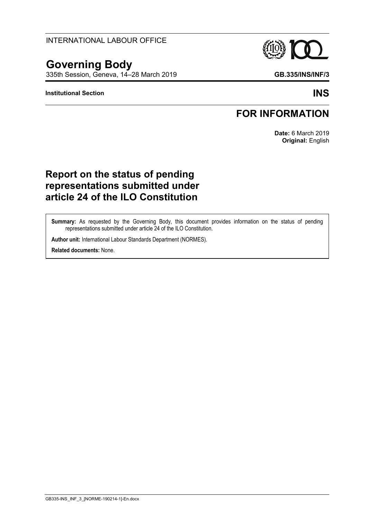#### INTERNATIONAL LABOUR OFFICE

# **Governing Body**

335th Session, Geneva, 14–28 March 2019 **GB.335/INS/INF/3**

#### **Institutional Section INS**

### **FOR INFORMATION**

**Date:** 6 March 2019 **Original:** English

## **Report on the status of pending representations submitted under article 24 of the ILO Constitution**

**Summary:** As requested by the Governing Body, this document provides information on the status of pending representations submitted under article 24 of the ILO Constitution.

**Author unit:** International Labour Standards Department (NORMES).

**Related documents:** None.



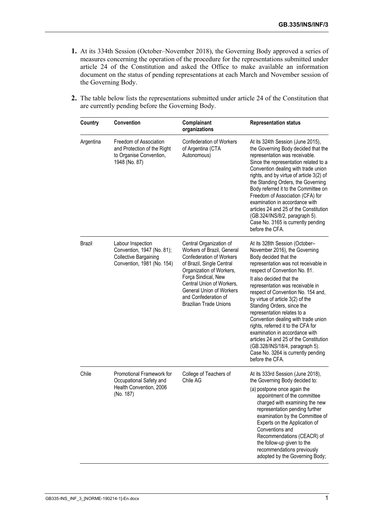- **1.** At its 334th Session (October–November 2018), the Governing Body approved a series of measures concerning the operation of the procedure for the representations submitted under article 24 of the Constitution and asked the Office to make available an information document on the status of pending representations at each March and November session of the Governing Body.
- **2.** The table below lists the representations submitted under article 24 of the Constitution that are currently pending before the Governing Body.

| Country       | Convention                                                                                                    | Complainant<br>organizations                                                                                                                                                                                                                                                                      | <b>Representation status</b>                                                                                                                                                                                                                                                                                                                                                                                                                                                                                                                                                                                                  |
|---------------|---------------------------------------------------------------------------------------------------------------|---------------------------------------------------------------------------------------------------------------------------------------------------------------------------------------------------------------------------------------------------------------------------------------------------|-------------------------------------------------------------------------------------------------------------------------------------------------------------------------------------------------------------------------------------------------------------------------------------------------------------------------------------------------------------------------------------------------------------------------------------------------------------------------------------------------------------------------------------------------------------------------------------------------------------------------------|
| Argentina     | Freedom of Association<br>and Protection of the Right<br>to Organise Convention,<br>1948 (No. 87)             | <b>Confederation of Workers</b><br>of Argentina (CTA<br>Autonomous)                                                                                                                                                                                                                               | At its 324th Session (June 2015),<br>the Governing Body decided that the<br>representation was receivable.<br>Since the representation related to a<br>Convention dealing with trade union<br>rights, and by virtue of article 3(2) of<br>the Standing Orders, the Governing<br>Body referred it to the Committee on<br>Freedom of Association (CFA) for<br>examination in accordance with<br>articles 24 and 25 of the Constitution<br>(GB.324/INS/8/2, paragraph 5).<br>Case No. 3165 is currently pending<br>before the CFA.                                                                                               |
| <b>Brazil</b> | Labour Inspection<br>Convention, 1947 (No. 81);<br><b>Collective Bargaining</b><br>Convention, 1981 (No. 154) | Central Organization of<br>Workers of Brazil, General<br><b>Confederation of Workers</b><br>of Brazil, Single Central<br>Organization of Workers,<br>Força Sindical, New<br>Central Union of Workers,<br><b>General Union of Workers</b><br>and Confederation of<br><b>Brazilian Trade Unions</b> | At its 328th Session (October-<br>November 2016), the Governing<br>Body decided that the<br>representation was not receivable in<br>respect of Convention No. 81.<br>It also decided that the<br>representation was receivable in<br>respect of Convention No. 154 and,<br>by virtue of article 3(2) of the<br>Standing Orders, since the<br>representation relates to a<br>Convention dealing with trade union<br>rights, referred it to the CFA for<br>examination in accordance with<br>articles 24 and 25 of the Constitution<br>(GB.328/INS/18/4, paragraph 5).<br>Case No. 3264 is currently pending<br>before the CFA. |
| Chile         | Promotional Framework for<br>Occupational Safety and<br>Health Convention, 2006<br>(No. 187)                  | College of Teachers of<br>Chile AG                                                                                                                                                                                                                                                                | At its 333rd Session (June 2018),<br>the Governing Body decided to:<br>(a) postpone once again the<br>appointment of the committee<br>charged with examining the new<br>representation pending further<br>examination by the Committee of<br>Experts on the Application of<br>Conventions and<br>Recommendations (CEACR) of<br>the follow-up given to the<br>recommendations previously<br>adopted by the Governing Body;                                                                                                                                                                                                     |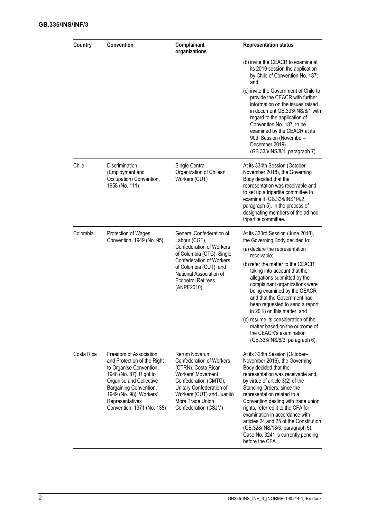| Country    | <b>Convention</b>                                                                                                                                                                                                                            | Complainant<br>organizations                                                                                                                                                                                                                 | <b>Representation status</b>                                                                                                                                                                                                                                                                                                                                                                                                                                                         |
|------------|----------------------------------------------------------------------------------------------------------------------------------------------------------------------------------------------------------------------------------------------|----------------------------------------------------------------------------------------------------------------------------------------------------------------------------------------------------------------------------------------------|--------------------------------------------------------------------------------------------------------------------------------------------------------------------------------------------------------------------------------------------------------------------------------------------------------------------------------------------------------------------------------------------------------------------------------------------------------------------------------------|
|            |                                                                                                                                                                                                                                              |                                                                                                                                                                                                                                              | (b) invite the CEACR to examine at<br>its 2019 session the application<br>by Chile of Convention No. 187;<br>and                                                                                                                                                                                                                                                                                                                                                                     |
|            |                                                                                                                                                                                                                                              |                                                                                                                                                                                                                                              | (c) invite the Government of Chile to<br>provide the CEACR with further<br>information on the issues raised<br>in document GB.333/INS/8/1 with<br>regard to the application of<br>Convention No. 187, to be<br>examined by the CEACR at its<br>90th Session (November-<br>December 2019)<br>(GB.333/INS/8/1, paragraph 7).                                                                                                                                                           |
| Chile      | Discrimination<br>(Employment and<br>Occupation) Convention,<br>1958 (No. 111)                                                                                                                                                               | Single Central<br>Organization of Chilean<br>Workers (CUT)                                                                                                                                                                                   | At its 334th Session (October-<br>November 2018), the Governing<br>Body decided that the<br>representation was receivable and<br>to set up a tripartite committee to<br>examine it (GB.334/INS/14/2,<br>paragraph 5). In the process of<br>designating members of the ad hoc<br>tripartite committee.                                                                                                                                                                                |
| Colombia   | Protection of Wages<br>Convention, 1949 (No. 95)                                                                                                                                                                                             | General Confederation of<br>Labour (CGT),<br><b>Confederation of Workers</b><br>of Colombia (CTC), Single<br><b>Confederation of Workers</b><br>of Colombia (CUT), and<br>National Association of<br><b>Ecopetrol Retirees</b><br>(ANPE2010) | At its 333rd Session (June 2018),<br>the Governing Body decided to:                                                                                                                                                                                                                                                                                                                                                                                                                  |
|            |                                                                                                                                                                                                                                              |                                                                                                                                                                                                                                              | (a) declare the representation<br>receivable:                                                                                                                                                                                                                                                                                                                                                                                                                                        |
|            |                                                                                                                                                                                                                                              |                                                                                                                                                                                                                                              | (b) refer the matter to the CEACR<br>taking into account that the<br>allegations submitted by the<br>complainant organizations were<br>being examined by the CEACR<br>and that the Government had<br>been requested to send a report<br>in 2018 on this matter; and                                                                                                                                                                                                                  |
|            |                                                                                                                                                                                                                                              |                                                                                                                                                                                                                                              | (c) resume its consideration of the<br>matter based on the outcome of<br>the CEACR's examination<br>(GB.333/INS/8/3, paragraph 6).                                                                                                                                                                                                                                                                                                                                                   |
| Costa Rica | Freedom of Association<br>and Protection of the Right<br>to Organise Convention,<br>1948 (No. 87); Right to<br>Organise and Collective<br>Bargaining Convention,<br>1949 (No. 98); Workers'<br>Representatives<br>Convention, 1971 (No. 135) | Rerum Novarum<br><b>Confederation of Workers</b><br>(CTRN), Costa Rican<br>Workers' Movement<br>Confederation (CMTC),<br>Unitary Confederation of<br>Workers (CUT) and Juanito<br>Mora Trade Union<br>Confederation (CSJM)                   | At its 328th Session (October-<br>November 2016), the Governing<br>Body decided that the<br>representation was receivable and,<br>by virtue of article 3(2) of the<br>Standing Orders, since the<br>representation related to a<br>Convention dealing with trade union<br>rights, referred it to the CFA for<br>examination in accordance with<br>articles 24 and 25 of the Constitution<br>(GB.328/INS/18/3, paragraph 5).<br>Case No. 3241 is currently pending<br>before the CFA. |